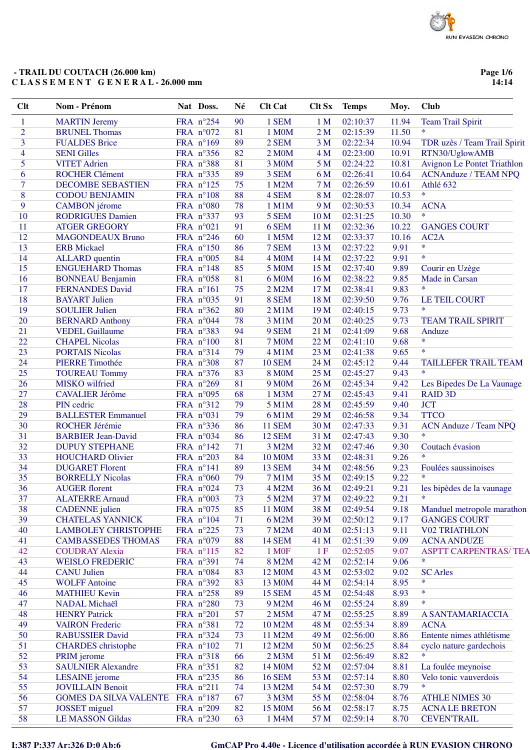Page 1/6  $14:14$ 

| <b>Clt</b>     | Nom - Prénom                                    | Nat Doss.              | Né       | <b>Clt Cat</b>             | Clt Sx          | <b>Temps</b>         | Moy.         | <b>Club</b>                                        |
|----------------|-------------------------------------------------|------------------------|----------|----------------------------|-----------------|----------------------|--------------|----------------------------------------------------|
| 1              | <b>MARTIN Jeremy</b>                            | FRA n°254              | 90       | 1 SEM                      | 1 <sub>M</sub>  | 02:10:37             | 11.94        | <b>Team Trail Spirit</b>                           |
| $\overline{2}$ | <b>BRUNEL Thomas</b>                            | FRA n°072              | 81       | 1 M0M                      | 2 <sub>M</sub>  | 02:15:39             | 11.50        | $\ast$                                             |
| 3              | <b>FUALDES Brice</b>                            | FRA n°169              | 89       | 2 SEM                      | 3 <sub>M</sub>  | 02:22:34             | 10.94        | TDR uzès / Team Trail Spirit                       |
| 4              | <b>SENI Gilles</b>                              | FRA n°356              | 82       | 2 M0M                      | 4 M             | 02:23:00             | 10.91        | RTN30/UglowAMB                                     |
| 5              | <b>VITET</b> Adrien                             | FRA n°388              | 81       | 3 M0M                      | 5 <sub>M</sub>  | 02:24:22             | 10.81        | <b>Avignon Le Pontet Triathlon</b>                 |
| 6              | <b>ROCHER Clément</b>                           | FRA nº335              | 89       | 3 SEM                      | 6 M             | 02:26:41             | 10.64        | <b>ACNAnduze / TEAM NPQ</b>                        |
| 7              | <b>DECOMBE SEBASTIEN</b>                        | FRA n°125              | 75       | 1 M2M                      | 7 M             | 02:26:59             | 10.61        | Athlé 632                                          |
| 8              | <b>CODOU BENJAMIN</b>                           | FRA n°108              | 88       | 4 SEM                      | 8 M             | 02:28:07             | 10.53        | $\ast$                                             |
| 9              | <b>CAMBON</b> jérome                            | FRA n°080              | 78       | 1 M1M                      | 9 M             | 02:30:53             | 10.34        | <b>ACNA</b>                                        |
| 10             | <b>RODRIGUES Damien</b>                         | FRA n°337              | 93       | 5 SEM                      | 10 <sub>M</sub> | 02:31:25             | 10.30        | $\ast$                                             |
| 11             | <b>ATGER GREGORY</b>                            | FRA n°021              | 91       | 6 SEM                      | 11 M            | 02:32:36             | 10.22        | <b>GANGES COURT</b>                                |
| 12             | <b>MAGONDEAUX Bruno</b>                         | FRA n°246              | 60       | 1 M5M                      | 12 M            | 02:33:37             | 10.16        | AC <sub>2</sub> A                                  |
| 13             | <b>ERB</b> Mickael                              | FRA n°150              | 86       | 7 SEM                      | 13 M            | 02:37:22             | 9.91         | $\ast$                                             |
| 14             | <b>ALLARD</b> quentin                           | FRA n°005              | 84       | 4 M <sub>0</sub> M         | 14 M            | 02:37:22             | 9.91         | $\ast$                                             |
| 15             | <b>ENGUEHARD Thomas</b>                         | FRA n°148              | 85       | <b>5 M0M</b>               | 15 M            | 02:37:40             | 9.89         | Courir en Uzège                                    |
| 16             | <b>BONNEAU Benjamin</b>                         | FRA n°058              | 81       | 6 M0M                      | 16 M            | 02:38:22             | 9.85         | Made in Carsan                                     |
| 17             | <b>FERNANDES David</b>                          | FRA nº161              | 75       | 2 M2M                      | 17 M            | 02:38:41             | 9.83         | $\ast$                                             |
| 18             | <b>BAYART</b> Julien                            | FRA n°035              | 91       | 8 SEM                      | 18 M            | 02:39:50             | 9.76         | <b>LE TEIL COURT</b>                               |
| 19             | <b>SOULIER Julien</b>                           | FRA n°362              | 80       | 2 M1M                      | 19 <sub>M</sub> | 02:40:15             | 9.73         | $\ast$                                             |
| 20             | <b>BERNARD Anthony</b>                          | FRA n°044              | 78       | 3 M1M                      | 20 M            | 02:40:25             | 9.73         | <b>TEAM TRAIL SPIRIT</b>                           |
| 21             | <b>VEDEL Guillaume</b>                          | FRA n°383              | 94       | 9 SEM                      | 21 <sub>M</sub> | 02:41:09             | 9.68         | Anduze                                             |
| 22             | <b>CHAPEL Nicolas</b>                           | FRA n°100              | 81       | <b>7 M0M</b>               | 22 M            | 02:41:10             | 9.68         | $\ast$<br>$\ast$                                   |
| 23             | <b>PORTAIS Nicolas</b>                          | FRA n°314              | 79       | 4 M1M                      | 23 M            | 02:41:38             | 9.65         |                                                    |
| 24             | <b>PIERRE Timothée</b>                          | FRA n°308              | 87       | <b>10 SEM</b>              | 24 M            | 02:45:12             | 9.44         | TAILLEFER TRAIL TEAM                               |
| 25             | <b>TOUREAU Tommy</b>                            | FRA n°376              | 83       | <b>8 M0M</b>               | 25 M            | 02:45:27             | 9.43         | $\ast$                                             |
| 26             | MISKO wilfried                                  | FRA n°269              | 81       | 9 M <sub>0</sub> M         | 26 M            | 02:45:34             | 9.42         | Les Bipedes De La Vaunage                          |
| 27             | <b>CAVALIER Jérôme</b>                          | FRA n°095              | 68       | 1 M3M                      | 27 M            | 02:45:43             | 9.41         | <b>RAID 3D</b>                                     |
| 28             | PIN cedric                                      | FRA nº312              | 79       | 5 M1M                      | 28 M            | 02:45:59             | 9.40         | <b>JCT</b>                                         |
| 29             | <b>BALLESTER Emmanuel</b>                       | FRA n°031              | 79       | 6 M1M                      | 29 M            | 02:46:58             | 9.34         | <b>TTCO</b>                                        |
| 30             | <b>ROCHER Jérémie</b>                           | FRA nº336              | 86       | <b>11 SEM</b>              | 30 M            | 02:47:33             | 9.31         | <b>ACN Anduze / Team NPQ</b><br>$\ast$             |
| 31             | <b>BARBIER Jean-David</b>                       | FRA n°034              | 86       | <b>12 SEM</b>              | 31 M            | 02:47:43             | 9.30         |                                                    |
| 32             | <b>DUPUY STEPHANE</b>                           | FRA n°142              | 71       | 3 M2M                      | 32 M            | 02:47:46             | 9.30         | Coutach évasion<br>$\ast$                          |
| 33             | <b>HOUCHARD Olivier</b>                         | FRA n°203              | 84       | <b>10 M0M</b>              | 33 M            | 02:48:31             | 9.26         |                                                    |
| 34             | <b>DUGARET Florent</b>                          | FRA n°141              | 89       | 13 SEM                     | 34 M            | 02:48:56             | 9.23         | Foulées saussinoises<br>$\ast$                     |
| 35             | <b>BORRELLY Nicolas</b>                         | FRA n°060              | 79       | <b>7 M1M</b>               | 35 M            | 02:49:15             | 9.22         |                                                    |
| 36             | <b>AUGER</b> florent                            | FRA n°024              | 73       | 4 M2M                      | 36 M            | 02:49:21             | 9.21         | les bipèdes de la vaunage<br>*                     |
| 37             | <b>ALATERRE Arnaud</b>                          | FRA n°003              | 73       | 5 M2M                      | 37 M            | 02:49:22             | 9.21         |                                                    |
| 38             | <b>CADENNE</b> julien                           | FRA n°075              | 85       | 11 M0M                     | 38 M            | 02:49:54             | 9.18         | Manduel metropole marathon                         |
| 39             | <b>CHATELAS YANNICK</b>                         | FRA n°104              | 71       | 6 M2M                      | 39 M            | 02:50:12             | 9.17         | <b>GANGES COURT</b>                                |
| 40             | <b>LAMBOLEY CHRISTOPHE</b>                      | FRA $n^{\circ}225$     | 73       | 7 M2M                      | 40 M            | 02:51:13             | 9.11         | <b>V02 TRIATHLON</b>                               |
| 41<br>42       | <b>CAMBASSEDES THOMAS</b>                       | FRA $n°079$            | 88       | <b>14 SEM</b>              | 41 M            | 02:51:39<br>02:52:05 | 9.09         | <b>ACNA ANDUZE</b><br><b>ASPTT CARPENTRAS/ TEA</b> |
| 43             | <b>COUDRAY Alexia</b><br><b>WEISLO FREDERIC</b> | FRA n°115<br>FRA n°391 | 82<br>74 | 1 M <sub>OF</sub><br>8 M2M | 1F<br>42 M      | 02:52:14             | 9.07<br>9.06 | *                                                  |
| 44             | <b>CANU</b> Julien                              | FRA n°084              | 83       | 12 M0M                     | 43 M            | 02:53:02             | 9.02         | <b>SC</b> Arles                                    |
| 45             | <b>WOLFF Antoine</b>                            | FRA n°392              | 83       | 13 M0M                     | 44 M            | 02:54:14             | 8.95         | *                                                  |
| 46             | <b>MATHIEU Kevin</b>                            | FRA n°258              | 89       | <b>15 SEM</b>              | 45 M            | 02:54:48             | 8.93         | $\ast$                                             |
| 47             | <b>NADAL Michaël</b>                            | FRA n°280              | 73       | 9 M2M                      | 46 M            | 02:55:24             | 8.89         | $\ast$                                             |
| 48             | <b>HENRY Patrick</b>                            | FRA n°201              | 57       | 2 M5M                      | 47 M            | 02:55:25             | 8.89         | A SANTAMARIACCIA                                   |
| 49             | <b>VAIRON</b> Frederic                          | FRA n°381              | 72       | 10 M2M                     | 48 M            | 02:55:34             | 8.89         | <b>ACNA</b>                                        |
| 50             | <b>RABUSSIER David</b>                          | FRA n°324              | 73       | 11 M2M                     | 49 M            |                      | 8.86         | Entente nimes athlétisme                           |
| 51             | <b>CHARDES</b> christophe                       | FRA n°102              | 71       | 12 M2M                     | 50 M            | 02:56:00<br>02:56:25 | 8.84         | cyclo nature gardechois                            |
| 52             | PRIM jerome                                     | FRA n°318              | 66       | 2 M3M                      | 51 M            | 02:56:49             | 8.82         | *                                                  |
| 53             | <b>SAULNIER Alexandre</b>                       | FRA nº351              | 82       | 14 M0M                     | 52 M            | 02:57:04             | 8.81         | La foulée meynoise                                 |
| 54             | <b>LESAINE</b> jerome                           | FRA $n^{\circ}235$     | 86       | <b>16 SEM</b>              | 53 M            | 02:57:14             | 8.80         | Velo tonic vauverdois                              |
| 55             | <b>JOVILLAIN Benoit</b>                         | FRA n°211              | 74       | 13 M2M                     | 54 M            | 02:57:30             | 8.79         | $\ast$                                             |
| 56             | <b>GOMES DA SILVA VALENTE</b>                   | FRA $n^{\circ}187$     | 67       | 3 M3M                      | 55 M            | 02:58:04             | 8.76         | <b>ATHLE NIMES 30</b>                              |
| 57             | <b>JOSSET</b> miguel                            | FRA $n^{\circ}209$     | 82       | 15 M0M                     | 56 M            | 02:58:17             | 8.75         | <b>ACNALE BRETON</b>                               |
| 58             | <b>LE MASSON Gildas</b>                         | FRA $n^{\circ}230$     | 63       | 1 M4M                      | 57 M            | 02:59:14             | 8.70         | <b>CEVENTRAIL</b>                                  |
|                |                                                 |                        |          |                            |                 |                      |              |                                                    |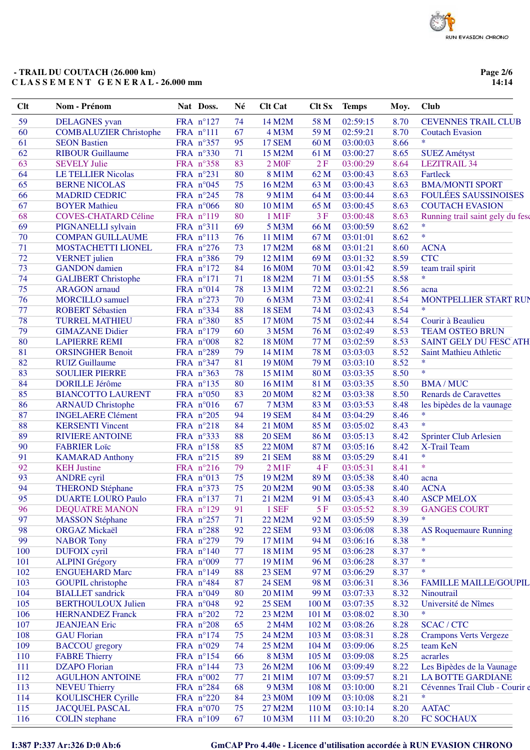Page 2/6  $14:14$ 

| Clt      | Nom - Prénom                  | Nat Doss.          | Né       | <b>Clt Cat</b>      | <b>Clt Sx</b> | <b>Temps</b> | Moy.         | <b>Club</b>                                   |
|----------|-------------------------------|--------------------|----------|---------------------|---------------|--------------|--------------|-----------------------------------------------|
| 59       | <b>DELAGNES</b> yvan          | FRA n°127          | 74       | 14 M2M              | 58 M          | 02:59:15     | 8.70         | <b>CEVENNES TRAIL CLUB</b>                    |
| 60       | <b>COMBALUZIER Christophe</b> | FRA nº111          | 67       | 4 M3M               | 59 M          | 02:59:21     | 8.70         | <b>Coutach Evasion</b>                        |
| 61       | <b>SEON Bastien</b>           | FRA n°357          | 95       | <b>17 SEM</b>       | 60 M          | 03:00:03     | 8.66         | $\ast$                                        |
| 62       | <b>RIBOUR Guillaume</b>       | FRA n°330          | 71       | 15 M2M              | 61 M          | 03:00:27     | 8.65         | <b>SUEZ Amétyst</b>                           |
| 63       | <b>SEVELY Julie</b>           | FRA n°358          | 83       | <b>2 MOF</b>        | 2F            | 03:00:29     | 8.64         | <b>LEZITRAIL 34</b>                           |
| 64       | <b>LE TELLIER Nicolas</b>     | FRA nº231          | 80       | 8 M1M               | 62 M          | 03:00:43     | 8.63         | Fartleck                                      |
| 65       | <b>BERNE NICOLAS</b>          | FRA n°045          | 75       | 16 M2M              | 63 M          | 03:00:43     | 8.63         | <b>BMA/MONTI SPORT</b>                        |
| 66       | <b>MADRID CEDRIC</b>          | FRA n°245          | 78       | 9 M1M               | 64 M          | 03:00:44     | 8.63         | <b>FOULÉES SAUSSINOISES</b>                   |
| 67       | <b>BOYER Mathieu</b>          | FRA $n^{\circ}066$ | 80       | 10 M1M              | 65 M          | 03:00:45     | 8.63         | <b>COUTACH EVASION</b>                        |
| 68       | <b>COVES-CHATARD Céline</b>   | FRA n°119          | 80       | 1 M1F               | 3F            | 03:00:48     | 8.63         | Running trail saint gely du fes               |
| 69       | PIGNANELLI sylvain            | FRA nº311          | 69       | 5 M3M               | 66 M          | 03:00:59     | 8.62         | $\ast$                                        |
| 70       | <b>COMPAN GUILLAUME</b>       | FRA nº113          | 76       | 11 M1M              | 67 M          | 03:01:01     | 8.62         | $\ast$                                        |
| 71       | MOSTACHETTI LIONEL            | FRA n°276          | 73       | 17 M2M              | 68 M          | 03:01:21     | 8.60         | <b>ACNA</b>                                   |
| 72       | <b>VERNET</b> julien          | FRA n°386          | 79       | 12 M1M              | 69 M          | 03:01:32     | 8.59         | <b>CTC</b>                                    |
| 73       | <b>GANDON</b> damien          | FRA n°172          | 84       | 16 M <sub>0</sub> M | 70 M          | 03:01:42     | 8.59         | team trail spirit                             |
| 74       | <b>GALIBERT Christophe</b>    | FRA n°171          | 71       | 18 M2M              | 71 M          | 03:01:55     | 8.58         | $\ast$                                        |
| 75       | <b>ARAGON</b> arnaud          | FRA n°014          | 78       | 13 M1M              | 72 M          | 03:02:21     | 8.56         | acna                                          |
| 76       | <b>MORCILLO</b> samuel        | FRA n°273          | 70       | 6 M3M               | 73 M          | 03:02:41     | 8.54         | MONTPELLIER START RUI                         |
| 77       | <b>ROBERT Sébastien</b>       | FRA nº334          | 88       | <b>18 SEM</b>       | 74 M          | 03:02:43     | 8.54         | $\ast$                                        |
| 78       | <b>TURREL MATHIEU</b>         | FRA n°380          | 85       | 17 M0M              | 75 M          | 03:02:44     | 8.54         | Courir à Beaulieu                             |
| 79       | <b>GIMAZANE Didier</b>        | FRA n°179          | 60       | 3 M5M               | 76 M          | 03:02:49     | 8.53         | <b>TEAM OSTEO BRUN</b>                        |
| 80       | <b>LAPIERRE REMI</b>          | FRA n°008          | 82       | <b>18 MOM</b>       | 77 M          | 03:02:59     | 8.53         | SAINT GELY DU FESC ATH                        |
| 81       | <b>ORSINGHER Benoit</b>       | FRA n°289          | 79       | 14 M1M              | 78 M          | 03:03:03     | 8.52         | Saint Mathieu Athletic                        |
| 82       | <b>RUIZ Guillaume</b>         | FRA n°347          | 81       | 19 M <sub>0</sub> M | 79 M          | 03:03:10     | 8.52         | $\ast$                                        |
| 83       | <b>SOULIER PIERRE</b>         | FRA n°363          | 78       | 15 M1M              | 80 M          | 03:03:35     | 8.50         | $\ast$                                        |
| 84       | <b>DORILLE Jérôme</b>         | FRA nº135          | 80       | 16 M1M              | 81 M          | 03:03:35     | 8.50         | <b>BMA/MUC</b>                                |
| 85       | <b>BIANCOTTO LAURENT</b>      | FRA n°050          | 83       | <b>20 M0M</b>       | 82 M          | 03:03:38     | 8.50         | <b>Renards de Caravettes</b>                  |
| 86       | <b>ARNAUD Christophe</b>      | FRA n°016          | 67       | 7 M3M               | 83 M          | 03:03:53     | 8.48         | les bipèdes de la vaunage                     |
| 87       | <b>INGELAERE Clément</b>      | FRA n°205          | 94       | <b>19 SEM</b>       | 84 M          | 03:04:29     | 8.46         | $\ast$                                        |
| 88       |                               |                    | 84       |                     | 85 M          | 03:05:02     | 8.43         | $\ast$                                        |
| 89       | <b>KERSENTI Vincent</b>       | FRA n°218          | 88       | 21 M <sub>0</sub> M |               | 03:05:13     |              |                                               |
| 90       | <b>RIVIERE ANTOINE</b>        | FRA n°333          | 85       | <b>20 SEM</b>       | 86 M          | 03:05:16     | 8.42<br>8.42 | <b>Sprinter Club Arlesien</b><br>X-Trail Team |
|          | <b>FABRIER Loïc</b>           | FRA nº158          |          | <b>22 MOM</b>       | 87 M          |              |              | $\ast$                                        |
| 91       | <b>KAMARAD Anthony</b>        | FRA n°215          | 89       | <b>21 SEM</b>       | 88 M          | 03:05:29     | 8.41         | $\ast$                                        |
| 92<br>93 | <b>KEH</b> Justine            | FRA n°216          | 79<br>75 | $2$ M1F             | 4F            | 03:05:31     | 8.41         |                                               |
|          | <b>ANDRE</b> cyril            | FRA n°013          |          | 19 M2M              | 89 M          | 03:05:38     | 8.40         | acna                                          |
| 94       | <b>THEROND Stéphane</b>       | FRA nº373          | 75       | 20 M2M              | 90 M          | 03:05:38     | 8.40         | <b>ACNA</b>                                   |
| 95       | <b>DUARTE LOURO Paulo</b>     | FRA n°137          | 71       | 21 M2M              | 91 M          | 03:05:43     | 8.40         | <b>ASCP MELOX</b>                             |
| 96       | <b>DEQUATRE MANON</b>         | FRA n°129          | 91       | 1 SEF               | 5F            | 03:05:52     | 8.39         | <b>GANGES COURT</b><br>*                      |
| 97       | <b>MASSON Stéphane</b>        | FRA $n^{\circ}257$ | 71       | 22 M2M              | 92 M          | 03:05:59     | 8.39         |                                               |
| 98       | <b>ORGAZ Mickaël</b>          | FRA n°288          | 92       | <b>22 SEM</b>       | 93 M          | 03:06:08     | 8.38         | <b>AS Roquemaure Running</b>                  |
| 99       | <b>NABOR Tony</b>             | FRA $n^{\circ}279$ | 79       | 17 M1M              | 94 M          | 03:06:16     | 8.38         | $\ast$                                        |
| 100      | DUFOIX cyril                  | FRA $n^{\circ}140$ | 77       | 18 M1M              | 95 M          | 03:06:28     | 8.37         | $\ast$                                        |
| 101      | <b>ALPINI</b> Grégory         | FRA n°009          | 77       | 19 M1M              | 96 M          | 03:06:28     | 8.37         | $\ast$                                        |
| 102      | <b>ENGUEHARD Marc</b>         | FRA n°149          | 88       | <b>23 SEM</b>       | 97 M          | 03:06:29     | 8.37         | $\ast$                                        |
| 103      | <b>GOUPIL</b> christophe      | FRA n°484          | 87       | <b>24 SEM</b>       | 98 M          | 03:06:31     | 8.36         | <b>FAMILLE MAILLE/GOUPIL</b>                  |
| 104      | <b>BIALLET</b> sandrick       | FRA $n^{\circ}049$ | 80       | 20 M1M              | 99 M          | 03:07:33     | 8.32         | Ninoutrail                                    |
| 105      | <b>BERTHOULOUX Julien</b>     | FRA $n^{\circ}048$ | 92       | <b>25 SEM</b>       | 100 M         | 03:07:35     | 8.32         | Université de Nîmes                           |
| 106      | <b>HERNANDEZ Franck</b>       | FRA n°202          | 72       | 23 M2M              | 101 M         | 03:08:02     | 8.30         | *                                             |
| 107      | <b>JEANJEAN</b> Eric          | FRA $n^{\circ}208$ | 65       | 2 M4M               | 102 M         | 03:08:26     | 8.28         | <b>SCAC/CTC</b>                               |
| 108      | <b>GAU Florian</b>            | FRA $n^{\circ}174$ | 75       | 24 M2M              | 103 M         | 03:08:31     | 8.28         | <b>Crampons Verts Vergeze</b>                 |
| 109      | <b>BACCOU</b> gregory         | FRA n°029          | 74       | 25 M2M              | 104 M         | 03:09:06     | 8.25         | team KeN                                      |
| 110      | <b>FABRE Thierry</b>          | FRA n°154          | 66       | 8 M3M               | 105 M         | 03:09:08     | 8.25         | acrarles                                      |
| 111      | <b>DZAPO</b> Florian          | FRA n°144          | 73       | 26 M2M              | 106 M         | 03:09:49     | 8.22         | Les Bipèdes de la Vaunage                     |
| 112      | <b>AGULHON ANTOINE</b>        | FRA $n^{\circ}002$ | 77       | 21 M1M              | 107 M         | 03:09:57     | 8.21         | <b>LA BOTTE GARDIANE</b>                      |
| 113      | <b>NEVEU Thierry</b>          | FRA n°284          | 68       | 9 M3M               | 108 M         | 03:10:00     | 8.21         | Cévennes Trail Club - Courir d                |
| 114      | <b>KOULISCHER Cyrille</b>     | FRA n°220          | 84       | 23 M0M              | 109 M         | 03:10:08     | 8.21         | *                                             |
| 115      | <b>JACQUEL PASCAL</b>         | FRA n°070          | 75       | 27 M2M              | 110 M         | 03:10:14     | 8.20         | <b>AATAC</b>                                  |
| 116      | <b>COLIN</b> stephane         | FRA n°109          | 67       | 10 M3M              | 111 M         | 03:10:20     | 8.20         | FC SOCHAUX                                    |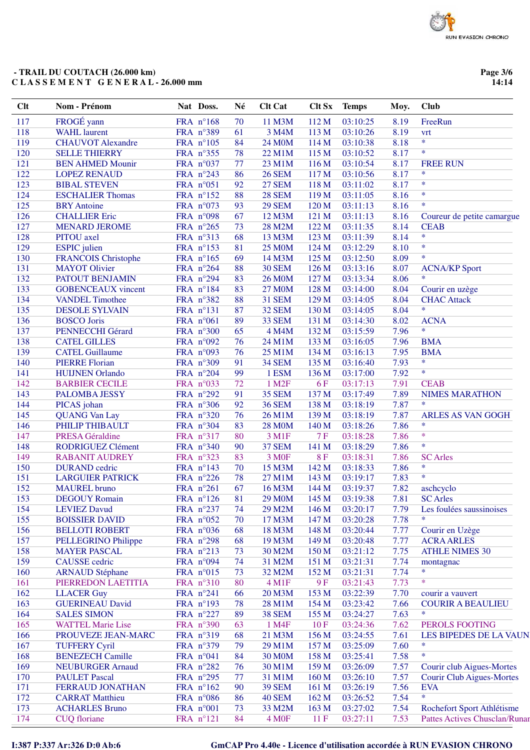Page 3/6  $14:14$ 

| Clt | Nom - Prénom               | Nat Doss.          | Né | <b>Clt Cat</b>        | Clt Sx           | <b>Temps</b> | Moy. | <b>Club</b>                          |
|-----|----------------------------|--------------------|----|-----------------------|------------------|--------------|------|--------------------------------------|
| 117 | FROGÉ yann                 | FRA n°168          | 70 | 11 M3M                | 112M             | 03:10:25     | 8.19 | FreeRun                              |
| 118 | <b>WAHL</b> laurent        | FRA n°389          | 61 | 3 M4M                 | 113 M            | 03:10:26     | 8.19 | vrt                                  |
| 119 | <b>CHAUVOT Alexandre</b>   | FRA n°105          | 84 | 24 M <sub>0</sub> M   | 114 M            | 03:10:38     | 8.18 | $\ast$                               |
| 120 | <b>SELLE THIERRY</b>       | FRA nº355          | 78 | 22 M1M                | 115 M            | 03:10:52     | 8.17 | $\ast$                               |
| 121 | <b>BEN AHMED Mounir</b>    | FRA n°037          | 77 | 23 M1M                | 116 M            | 03:10:54     | 8.17 | <b>FREE RUN</b>                      |
| 122 | <b>LOPEZ RENAUD</b>        | FRA n°243          | 86 | <b>26 SEM</b>         | 117 M            | 03:10:56     | 8.17 | $\ast$                               |
| 123 | <b>BIBAL STEVEN</b>        | FRA n°051          | 92 | <b>27 SEM</b>         | 118 M            | 03:11:02     | 8.17 | $\ast$                               |
| 124 | <b>ESCHALIER Thomas</b>    | FRA n°152          | 88 | <b>28 SEM</b>         | 119 <sub>M</sub> | 03:11:05     | 8.16 | $\ast$                               |
| 125 | <b>BRY</b> Antoine         | FRA n°073          | 93 | <b>29 SEM</b>         | 120 M            | 03:11:13     | 8.16 | $\ast$                               |
| 126 | <b>CHALLIER Eric</b>       | FRA n°098          | 67 | 12 M3M                | 121 M            | 03:11:13     | 8.16 | Coureur de petite camargue           |
| 127 | <b>MENARD JEROME</b>       | FRA $n^{\circ}265$ | 73 | 28 M2M                | 122 M            | 03:11:35     | 8.14 | <b>CEAB</b>                          |
| 128 | PITOU axel                 | FRA nº313          | 68 | 13 M3M                | 123 M            | 03:11:39     | 8.14 | $\ast$                               |
| 129 | <b>ESPIC</b> julien        | FRA nº153          | 81 | <b>25 M0M</b>         | 124 M            | 03:12:29     | 8.10 | $\ast$                               |
| 130 | <b>FRANCOIS Christophe</b> | FRA nº165          | 69 | 14 M3M                | 125 M            | 03:12:50     | 8.09 | $\ast$                               |
| 131 | <b>MAYOT</b> Olivier       | FRA n°264          | 88 | <b>30 SEM</b>         | 126 M            | 03:13:16     | 8.07 | <b>ACNA/KP Sport</b>                 |
| 132 | PATOUT BENJAMIN            | FRA n°294          | 83 | <b>26 M0M</b>         | 127 M            | 03:13:34     | 8.06 | $\ast$                               |
| 133 | <b>GOBENCEAUX</b> vincent  | FRA n°184          | 83 | <b>27 M0M</b>         | 128 M            | 03:14:00     | 8.04 | Courir en uzège                      |
| 134 | <b>VANDEL Timothee</b>     | FRA n°382          | 88 | <b>31 SEM</b>         | 129 M            | 03:14:05     | 8.04 | <b>CHAC Attack</b>                   |
| 135 | <b>DESOLE SYLVAIN</b>      | FRA nº131          | 87 | <b>32 SEM</b>         | 130 M            | 03:14:05     | 8.04 | $\ast$                               |
| 136 | <b>BOSCO</b> Joris         | FRA n°061          | 89 | 33 SEM                | 131 M            | 03:14:30     | 8.02 | <b>ACNA</b>                          |
| 137 | <b>PENNECCHI Gérard</b>    | FRA n°300          | 65 | 4 M4M                 | 132 M            | 03:15:59     | 7.96 | $\ast$                               |
| 138 | <b>CATEL GILLES</b>        | FRA n°092          | 76 | 24 M1M                | 133 M            | 03:16:05     | 7.96 | <b>BMA</b>                           |
| 139 | <b>CATEL Guillaume</b>     | FRA n°093          | 76 | 25 M1M                | 134 M            | 03:16:13     | 7.95 | <b>BMA</b>                           |
| 140 | <b>PIERRE Florian</b>      | FRA n°309          | 91 | <b>34 SEM</b>         | 135 M            | 03:16:40     | 7.93 | $\ast$                               |
| 141 | <b>HUIJNEN Orlando</b>     | FRA n°204          | 99 | 1 ESM                 | 136 M            | 03:17:00     | 7.92 | $\ast$                               |
| 142 | <b>BARBIER CECILE</b>      | FRA n°033          | 72 | 1 M <sub>2</sub> F    | 6F               | 03:17:13     | 7.91 | <b>CEAB</b>                          |
| 143 | PALOMBA JESSY              | FRA n°292          | 91 | <b>35 SEM</b>         | 137 M            | 03:17:49     | 7.89 | <b>NIMES MARATHON</b>                |
| 144 | PICAS johan                | FRA n°306          | 92 | <b>36 SEM</b>         | 138 M            | 03:18:19     | 7.87 | $\ast$                               |
| 145 | <b>QUANG Van Lay</b>       | FRA n°320          | 76 | 26 M1M                | 139 M            | 03:18:19     | 7.87 | ARLES AS VAN GOGH                    |
| 146 | PHILIP THIBAULT            | FRA n°304          | 83 | <b>28 M0M</b>         | 140 M            | 03:18:26     | 7.86 | $\ast$                               |
| 147 | <b>PRESA Géraldine</b>     | FRA n°317          | 80 | 3 M1F                 | 7F               | 03:18:28     | 7.86 | $\ast$                               |
| 148 | RODRIGUEZ Clément          | FRA n°340          | 90 | <b>37 SEM</b>         | 141 M            | 03:18:29     | 7.86 | $\ast$                               |
| 149 | <b>RABANIT AUDREY</b>      | FRA nº323          | 83 | 3 M <sub>OF</sub>     | <b>8F</b>        | 03:18:31     | 7.86 | <b>SC</b> Arles                      |
| 150 | <b>DURAND</b> cedric       | FRA n°143          | 70 | 15 M3M                | 142 M            | 03:18:33     | 7.86 | $\ast$                               |
| 151 | <b>LARGUIER PATRICK</b>    | FRA n°226          | 78 | 27 M1M                | 143 M            | 03:19:17     | 7.83 | $\ast$                               |
| 152 | <b>MAUREL</b> bruno        | FRA n°261          | 67 | 16 M3M                | 144 M            | 03:19:37     | 7.82 | aschcyclo                            |
| 153 | <b>DEGOUY Romain</b>       | FRA n°126          | 81 | 29 M0M 145 M 03:19:38 |                  |              | 7.81 | <b>SC</b> Arles                      |
| 154 | <b>LEVIEZ Davud</b>        | FRA n°237          | 74 | 29 M2M                | 146 M            | 03:20:17     | 7.79 | Les foulées saussinoises             |
| 155 | <b>BOISSIER DAVID</b>      | FRA n°052          | 70 | 17 M3M                | 147 M            | 03:20:28     | 7.78 | *                                    |
| 156 | <b>BELLOTI ROBERT</b>      | FRA n°036          | 68 | 18 M3M                | 148 M            | 03:20:44     | 7.77 | Courir en Uzège                      |
| 157 | PELLEGRINO Philippe        | FRA $n^{\circ}298$ | 68 | 19 M3M                | 149 M            | 03:20:48     | 7.77 | <b>ACRA ARLES</b>                    |
| 158 | <b>MAYER PASCAL</b>        | FRA n°213          | 73 | 30 M2M                | 150 M            | 03:21:12     | 7.75 | <b>ATHLE NIMES 30</b>                |
| 159 | <b>CAUSSE</b> cedric       | FRA n°094          | 74 | 31 M2M                | 151 M            | 03:21:31     | 7.74 | montagnac                            |
| 160 | <b>ARNAUD Stéphane</b>     | FRA $n^{\circ}015$ | 73 | 32 M2M                | 152 M            | 03:21:31     | 7.74 | $\ast$                               |
| 161 | PIERREDON LAETITIA         | FRA n°310          | 80 | 4 M1F                 | 9F               | 03:21:43     | 7.73 | $\ast$                               |
| 162 | <b>LLACER Guy</b>          | FRA $n^{\circ}241$ | 66 | 20 M3M                | 153 M            | 03:22:39     | 7.70 | courir a vauvert                     |
| 163 | <b>GUERINEAU David</b>     | FRA n°193          | 78 | 28 M1M                | 154 M            | 03:23:42     | 7.66 | <b>COURIR A BEAULIEU</b>             |
| 164 | <b>SALES SIMON</b>         | FRA $n^{\circ}227$ | 89 | <b>38 SEM</b>         | 155 M            | 03:24:27     | 7.63 | $\ast$                               |
| 165 | <b>WATTEL Marie Lise</b>   | FRA n°390          | 63 | 1 M4F                 | 10F              | 03:24:36     | 7.62 | PEROLS FOOTING                       |
| 166 | PROUVEZE JEAN-MARC         | FRA n°319          | 68 | 21 M3M                | 156 M            | 03:24:55     | 7.61 | LES BIPEDES DE LA VAUN               |
| 167 | <b>TUFFERY Cyril</b>       | FRA n°379          | 79 | 29 M1M                | 157 M            | 03:25:09     | 7.60 | ∗                                    |
| 168 | <b>BENEZECH Camille</b>    | FRA n°041          | 84 | 30 M0M                | 158 M            | 03:25:41     | 7.58 | $\ast$                               |
| 169 | <b>NEUBURGER Arnaud</b>    | FRA $n^{\circ}282$ | 76 | 30 M1M                | 159 M            | 03:26:09     | 7.57 | Courir club Aigues-Mortes            |
| 170 | <b>PAULET</b> Pascal       | FRA n°295          | 77 | 31 M1M                | 160 M            | 03:26:10     | 7.57 | <b>Courir Club Aigues-Mortes</b>     |
| 171 | FERRAUD JONATHAN           | FRA n°162          | 90 | <b>39 SEM</b>         | 161 M            | 03:26:19     | 7.56 | <b>EVA</b>                           |
| 172 | <b>CARRAT Matthieu</b>     | FRA n°086          | 86 | <b>40 SEM</b>         | 162 M            | 03:26:52     | 7.54 | $\ast$                               |
| 173 | <b>ACHARLES Bruno</b>      | FRA n°001          | 73 | 33 M2M                | 163 M            | 03:27:02     | 7.54 | Rochefort Sport Athlétisme           |
| 174 | <b>CUQ</b> floriane        | FRA nº121          | 84 | 4 M <sub>OF</sub>     | 11F              | 03:27:11     | 7.53 | <b>Pattes Actives Chusclan/Runar</b> |

I:387 P:337 Ar:326 D:0 Ab:6

# GmCAP Pro 4.40e - Licence d'utilisation accordée à RUN EVASION CHRONO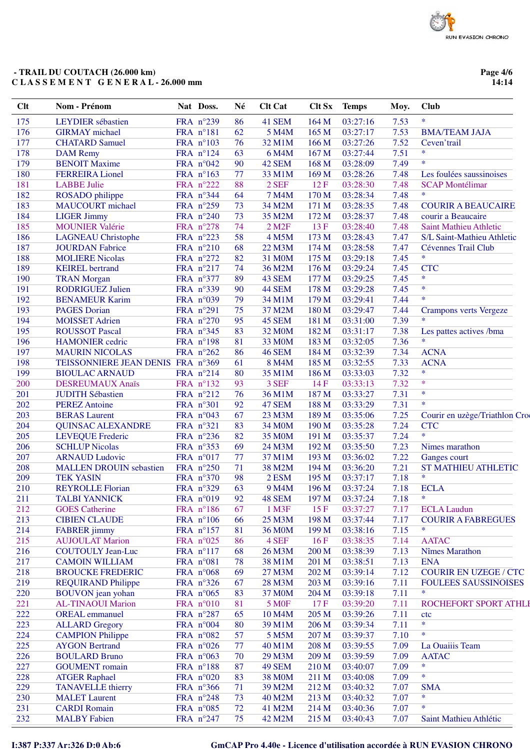### **- TRAIL DU COUTACH (26.000 km) C L A S S E M E N T G E N E R A L - 26.000 mm**

**Page 4/6 14:14**

| Clt | Nom - Prénom                                | Nat Doss.              | Né       | <b>Clt Cat</b>     | <b>Clt Sx</b> | <b>Temps</b>         | Moy.         | Club                                            |
|-----|---------------------------------------------|------------------------|----------|--------------------|---------------|----------------------|--------------|-------------------------------------------------|
| 175 | <b>LEYDIER</b> sébastien                    | FRA n°239              | 86       | 41 SEM             | 164 M         | 03:27:16             | 7.53         | $\ast$                                          |
| 176 | <b>GIRMAY</b> michael                       | FRA n°181              | 62       | 5 M4M              | 165 M         | 03:27:17             | 7.53         | <b>BMA/TEAM JAJA</b>                            |
| 177 | <b>CHATARD Samuel</b>                       | FRA n°103              | 76       | 32 M1M             | 166 M         | 03:27:26             | 7.52         | Ceven'trail                                     |
| 178 | <b>DAM</b> Remy                             | FRA n°124              | 63       | 6 M4M              | 167 M         | 03:27:44             | 7.51         | $\ast$                                          |
| 179 | <b>BENOIT Maxime</b>                        | FRA n°042              | 90       | 42 SEM             | 168 M         | 03:28:09             | 7.49         | $\ast$                                          |
| 180 | <b>FERREIRA Lionel</b>                      | FRA nº163              | 77       | 33 M1M             | 169 M         | 03:28:26             | 7.48         | Les foulées saussinoises                        |
| 181 | <b>LABBE Julie</b>                          | FRA n°222              | 88       | 2 SEF              | 12F           | 03:28:30             | 7.48         | <b>SCAP Montélimar</b>                          |
| 182 | ROSADO philippe                             | FRA n°344              | 64       | <b>7 M4M</b>       | 170 M         | 03:28:34             | 7.48         | $\ast$                                          |
| 183 | <b>MAUCOURT</b> michael                     | FRA n°259              | 73       | 34 M2M             | 171 M         | 03:28:35             | 7.48         | <b>COURIR A BEAUCAIRE</b>                       |
| 184 | <b>LIGER Jimmy</b>                          | FRA $n^{\circ}240$     | 73       | 35 M2M             | 172 M         | 03:28:37             | 7.48         | courir a Beaucaire                              |
| 185 | <b>MOUNIER Valérie</b>                      | FRA n°278              | 74       | 2 M <sub>2</sub> F | 13F           | 03:28:40             | 7.48         | <b>Saint Mathieu Athletic</b>                   |
| 186 | <b>LAGNEAU</b> Christophe                   | FRA n°223              | 58       | 4 M5M              | 173 M         | 03:28:43             | 7.47         | S/L Saint-Mathieu Athletic                      |
| 187 | <b>JOURDAN Fabrice</b>                      | FRA n°210              | 68       | 22 M3M             | 174 M         | 03:28:58             | 7.47         | Cévennes Trail Club                             |
| 188 | <b>MOLIERE Nicolas</b>                      | FRA $n^{\circ}272$     | 82       | 31 M0M             | 175 M         | 03:29:18             | 7.45         | $\ast$                                          |
| 189 | <b>KEIREL</b> bertrand                      | FRA $n^{\circ}217$     | 74       | 36 M2M             | 176 M         | 03:29:24             | 7.45         | <b>CTC</b>                                      |
| 190 | <b>TRAN Morgan</b>                          | FRA n°377              | 89       | 43 SEM             | 177 M         | 03:29:25             | 7.45         | $\ast$                                          |
| 191 | <b>RODRIGUEZ Julien</b>                     | FRA n°339              | 90       | 44 SEM             | 178 M         | 03:29:28             | 7.45         | $\ast$                                          |
| 192 | <b>BENAMEUR Karim</b>                       | FRA n°039              | 79       | 34 M1M             | 179 M         | 03:29:41             | 7.44         | $\ast$                                          |
| 193 | <b>PAGES Dorian</b>                         | FRA n°291              | 75       | 37 M2M             | 180 M         | 03:29:47             | 7.44         | <b>Crampons verts Vergeze</b>                   |
| 194 | <b>MOISSET Adrien</b>                       | FRA n°270              | 95       | 45 SEM             | 181 M         | 03:31:00             | 7.39         | $\ast$                                          |
| 195 | <b>ROUSSOT Pascal</b>                       | FRA n°345              | 83       | 32 M0M             | 182 M         | 03:31:17             | 7.38         | Les pattes actives /bma                         |
| 196 | <b>HAMONIER</b> cedric                      | FRA n°198              | 81       | 33 M0M             | 183 M         | 03:32:05             | 7.36         | $\ast$                                          |
| 197 | <b>MAURIN NICOLAS</b>                       | FRA $n^{\circ}262$     | 86       | <b>46 SEM</b>      | 184 M         | 03:32:39             | 7.34         | <b>ACNA</b>                                     |
| 198 | TEISSONNIERE JEAN DENIS FRA n°369           |                        | 61       | 8 M4M              | 185 M         | 03:32:55             | 7.33         | <b>ACNA</b>                                     |
| 199 | <b>BIOULAC ARNAUD</b>                       | FRA $n^{\circ}214$     | 80       | 35 M1M             | 186 M         | 03:33:03             | 7.32         | $\ast$                                          |
| 200 | DESREUMAUX Anaïs                            | FRA nº132              | 93       | 3 SEF              | 14F           | 03:33:13             | 7.32         | $\ast$                                          |
| 201 | <b>JUDITH Sébastien</b>                     | FRA n°212              | 76       | 36 M1M             | 187 M         | 03:33:27             | 7.31         | $\ast$                                          |
| 202 | <b>PEREZ Antoine</b>                        | FRA n°301              | 92       | 47 SEM             | 188 M         | 03:33:29             | 7.31         | $\ast$                                          |
| 203 | <b>BERAS</b> Laurent                        | FRA $n^{\circ}043$     | 67       | 23 M3M             | 189 M         | 03:35:06             | 7.25         | Courir en uzège/Triathlon Cro                   |
| 204 | <b>QUINSAC ALEXANDRE</b>                    | FRA n°321              | 83       | 34 M0M             | 190 M         | 03:35:28             | 7.24         | <b>CTC</b>                                      |
| 205 | <b>LEVEQUE Frederic</b>                     | FRA n°236              | 82       | 35 M0M             | 191 M         | 03:35:37             | 7.24         | $\ast$                                          |
| 206 | <b>SCHLUP Nicolas</b>                       | FRA n°353              | 69       | 24 M3M             | 192 M         | 03:35:50             | 7.23         | Nimes marathon                                  |
| 207 | <b>ARNAUD Ludovic</b>                       | FRA n°017              | 77       | 37 M1M             | 193 M         | 03:36:02             | 7.22         | Ganges court                                    |
| 208 | <b>MALLEN DROUIN sebastien</b>              | FRA n°250              | 71       | 38 M2M             | 194 M         | 03:36:20             | 7.21         | <b>ST MATHIEU ATHLETIC</b>                      |
| 209 | <b>TEK YASIN</b>                            | FRA n°370              | 98       | 2 ESM              | 195 M         | 03:37:17             | 7.18         | $\ast$                                          |
| 210 | <b>REYROLLE Florian</b>                     | FRA n°329              | 63       | 9 M4M              | 196 M         | 03:37:24             | 7.18         | <b>ECLA</b>                                     |
| 211 | <b>TALBI YANNICK</b>                        | FRA $n°019$            | 92       | <b>48 SEM</b>      |               | 197 M 03:37:24       | 7.18         | $*$                                             |
| 212 | <b>GOES</b> Catherine                       | FRA n°186              | 67       | 1 M3F              | 15F           | 03:37:27             | 7.17         |                                                 |
| 213 |                                             | FRA n°106              | 66       | 25 M3M             | 198 M         | 03:37:44             | 7.17         | <b>ECLA Laudun</b><br><b>COURIR A FABREGUES</b> |
| 214 | <b>CIBIEN CLAUDE</b><br><b>FABRER</b> jimmy |                        | 81       | <b>36 M0M</b>      | 199 M         | 03:38:16             | 7.15         | *                                               |
| 215 | <b>AUJOULAT Marion</b>                      | FRA n°157              |          | 4 SEF              | 16F           |                      |              | <b>AATAC</b>                                    |
| 216 | <b>COUTOULY Jean-Luc</b>                    | FRA n°025<br>FRA n°117 | 86<br>68 | 26 M3M             | 200 M         | 03:38:35<br>03:38:39 | 7.14<br>7.13 | Nîmes Marathon                                  |
| 217 |                                             |                        | 78       |                    |               | 03:38:51             | 7.13         | <b>ENA</b>                                      |
|     | <b>CAMOIN WILLIAM</b>                       | FRA n°081              |          | 38 M1M<br>27 M3M   | 201 M         |                      |              |                                                 |
| 218 | <b>BROUCKE FREDERIC</b>                     | FRA n°068              | 69       | 28 M3M             | 202 M         | 03:39:14             | 7.12         | <b>COURIR EN UZEGE / CTC</b>                    |
| 219 | <b>REQUIRAND Philippe</b>                   | FRA $n^{\circ}326$     | 67       |                    | 203 M         | 03:39:16             | 7.11         | <b>FOULEES SAUSSINOISES</b><br>$\ast$           |
| 220 | <b>BOUVON</b> jean yohan                    | FRA n°065              | 83       | 37 M0M             | 204 M         | 03:39:18             | 7.11         |                                                 |
| 221 | <b>AL-TINAOUI Marion</b>                    | FRA n°010              | 81       | <b>5 MOF</b>       | 17F           | 03:39:20             | 7.11         | ROCHEFORT SPORT ATHLI                           |
| 222 | <b>OREAL</b> emmanuel                       | FRA n°287              | 65       | 10 M4M             | 205 M         | 03:39:26             | 7.11         | ctc                                             |
| 223 | <b>ALLARD Gregory</b>                       | FRA n°004              | 80       | 39 M1M             | 206 M         | 03:39:34             | 7.11         | $\ast$<br>$\ast$                                |
| 224 | <b>CAMPION Philippe</b>                     | FRA n°082              | 57       | 5 M5M              | 207 M         | 03:39:37             | 7.10         |                                                 |
| 225 | <b>AYGON Bertrand</b>                       | FRA $n^{\circ}026$     | 77       | 40 M1M             | 208 M         | 03:39:55             | 7.09         | La Ouaiiis Team                                 |
| 226 | <b>BOULARD Bruno</b>                        | FRA $n^{\circ}063$     | 70       | 29 M3M             | 209 M         | 03:39:59             | 7.09         | <b>AATAC</b>                                    |
| 227 | <b>GOUMENT</b> romain                       | FRA n°188              | 87       | 49 SEM             | 210 M         | 03:40:07             | 7.09         | $\ast$                                          |
| 228 | <b>ATGER Raphael</b>                        | FRA $n^{\circ}020$     | 83       | <b>38 MOM</b>      | 211 M         | 03:40:08             | 7.09         | $\ast$                                          |
| 229 | <b>TANAVELLE</b> thierry                    | FRA n°366              | 71       | 39 M2M             | 212 M         | 03:40:32             | 7.07         | <b>SMA</b>                                      |
| 230 | <b>MALET</b> Laurent                        | FRA n°248              | 73       | 40 M2M             | 213 M         | 03:40:32             | 7.07         | $\ast$                                          |
| 231 | <b>CARDI Romain</b>                         | FRA n°085              | 72       | 41 M2M             | 214 M         | 03:40:36             | 7.07         | $\ast$                                          |
| 232 | <b>MALBY</b> Fabien                         | FRA $n^{\circ}247$     | 75       | 42 M2M             | 215 M         | 03:40:43             | 7.07         | Saint Mathieu Athlétic                          |

# **I:387 P:337 Ar:326 D:0 Ab:6 GmCAP Pro 4.40e - Licence d'utilisation accordée à RUN EVASION CHRONO**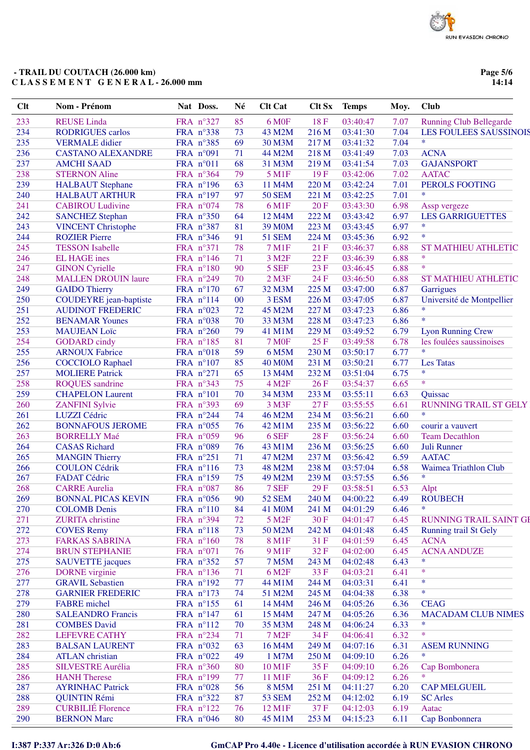Page 5/6  $14:14$ 

| Clt | Nom - Prénom                  | Nat Doss.          | Né | <b>Clt Cat</b>      | <b>Clt Sx</b> | <b>Temps</b> | Moy. | <b>Club</b>                    |
|-----|-------------------------------|--------------------|----|---------------------|---------------|--------------|------|--------------------------------|
| 233 | <b>REUSE</b> Linda            | FRA n°327          | 85 | 6 M <sub>OF</sub>   | 18F           | 03:40:47     | 7.07 | <b>Running Club Bellegarde</b> |
| 234 | <b>RODRIGUES</b> carlos       | FRA n°338          | 73 | 43 M2M              | 216 M         | 03:41:30     | 7.04 | <b>LES FOULEES SAUSSINOIS</b>  |
| 235 | <b>VERMALE</b> didier         | FRA n°385          | 69 | 30 M3M              | 217 M         | 03:41:32     | 7.04 | $\ast$                         |
| 236 | <b>CASTANO ALEXANDRE</b>      | FRA n°091          | 71 | 44 M2M              | 218 M         | 03:41:49     | 7.03 | <b>ACNA</b>                    |
| 237 | <b>AMCHI SAAD</b>             | FRA n°011          | 68 | 31 M3M              | 219 M         | 03:41:54     | 7.03 | <b>GAJANSPORT</b>              |
| 238 | <b>STERNON Aline</b>          | FRA n°364          | 79 | 5 M1F               | 19F           | 03:42:06     | 7.02 | <b>AATAC</b>                   |
| 239 | <b>HALBAUT</b> Stephane       | FRA n°196          | 63 | 11 M4M              | 220 M         | 03:42:24     | 7.01 | PEROLS FOOTING                 |
| 240 | <b>HALBAUT ARTHUR</b>         | FRA n°197          | 97 | <b>50 SEM</b>       | 221 M         | 03:42:25     | 7.01 | $\ast$                         |
| 241 | <b>CABIROU Ludivine</b>       | FRA n°074          | 78 | 6 M1F               | 20F           | 03:43:30     | 6.98 | Assp vergeze                   |
| 242 | <b>SANCHEZ Stephan</b>        | FRA n°350          | 64 | 12 M4M              | 222 M         | 03:43:42     | 6.97 | <b>LES GARRIGUETTES</b>        |
| 243 | <b>VINCENT Christophe</b>     | FRA n°387          | 81 | 39 M <sub>0</sub> M | 223 M         | 03:43:45     | 6.97 | $\ast$                         |
| 244 | <b>ROZIER Pierre</b>          | FRA n°346          | 91 | <b>51 SEM</b>       | 224 M         | 03:45:36     | 6.92 | $\ast$                         |
| 245 | <b>TESSON</b> Isabelle        | FRA n°371          | 78 | 7 M1F               | 21F           | 03:46:37     | 6.88 | <b>ST MATHIEU ATHLETIC</b>     |
| 246 | <b>EL HAGE</b> ines           | FRA n°146          | 71 | 3 M <sub>2</sub> F  | 22F           | 03:46:39     | 6.88 | $\ast$                         |
| 247 | <b>GINON Cyrielle</b>         | FRA n°180          | 90 | 5 SEF               | 23 F          | 03:46:45     | 6.88 | $\ast$                         |
| 248 | <b>MALLEN DROUIN laure</b>    | FRA n°249          | 70 | $2$ M3F             | 24 F          | 03:46:50     | 6.88 | <b>ST MATHIEU ATHLETIC</b>     |
| 249 | <b>GAIDO Thierry</b>          | FRA n°170          | 67 | 32 M3M              | 225 M         | 03:47:00     | 6.87 | Garrigues                      |
| 250 | <b>COUDEYRE</b> jean-baptiste | FRA n°114          | 00 | 3 ESM               | 226 M         | 03:47:05     | 6.87 | Université de Montpellier      |
| 251 | <b>AUDINOT FREDERIC</b>       | FRA n°023          | 72 | 45 M2M              | 227 M         | 03:47:23     | 6.86 | $\ast$                         |
| 252 | <b>BENAMAR Younes</b>         | FRA n°038          | 70 | 33 M3M              | 228 M         | 03:47:23     | 6.86 | $\ast$                         |
| 253 | <b>MAUJEAN Loïc</b>           | FRA n°260          | 79 | 41 M1M              | 229 M         | 03:49:52     | 6.79 | <b>Lyon Running Crew</b>       |
| 254 | <b>GODARD</b> cindy           | FRA n°185          | 81 | <b>7 MOF</b>        | 25F           | 03:49:58     | 6.78 | les foulées saussinoises       |
| 255 | <b>ARNOUX Fabrice</b>         | FRA n°018          | 59 | 6 M5M               | 230 M         | 03:50:17     | 6.77 | $\ast$                         |
| 256 | <b>COCCIOLO Raphael</b>       | FRA n°107          | 85 | <b>40 M0M</b>       | 231 M         | 03:50:21     | 6.77 | <b>Les Tatas</b>               |
| 257 | <b>MOLIERE Patrick</b>        | FRA n°271          | 65 | 13 M4M              | 232 M         | 03:51:04     | 6.75 | $\ast$                         |
| 258 | <b>ROQUES</b> sandrine        | FRA n°343          | 75 | 4 M2F               | 26F           | 03:54:37     | 6.65 | $\ast$                         |
| 259 | <b>CHAPELON Laurent</b>       | FRA n°101          | 70 | 34 M3M              | 233 M         | 03:55:11     | 6.63 | Quissac                        |
| 260 | <b>ZANFINI</b> Sylvie         | FRA n°393          | 69 | 3 M3F               | 27F           | 03:55:55     | 6.61 | <b>RUNNING TRAIL ST GELY</b>   |
| 261 | LUZZI Cédric                  | FRA n°244          | 74 | 46 M2M              | 234 M         | 03:56:21     | 6.60 | $\ast$                         |
| 262 | <b>BONNAFOUS JEROME</b>       | FRA n°055          | 76 | 42 M1M              | 235 M         | 03:56:22     | 6.60 | courir a vauvert               |
| 263 | <b>BORRELLY Maé</b>           | FRA n°059          | 96 | 6 SEF               | 28F           | 03:56:24     | 6.60 | <b>Team Decathlon</b>          |
| 264 | <b>CASAS</b> Richard          | FRA n°089          | 76 | 43 M1M              | 236 M         | 03:56:25     | 6.60 | Juli Runner                    |
| 265 | <b>MANGIN Thierry</b>         | FRA n°251          | 71 | 47 M2M              | 237 M         | 03:56:42     | 6.59 | <b>AATAC</b>                   |
| 266 | <b>COULON Cédrik</b>          | FRA n°116          | 73 | 48 M2M              | 238 M         | 03:57:04     | 6.58 | Waimea Triathlon Club          |
| 267 | <b>FADAT Cédric</b>           | FRA n°159          | 75 | 49 M2M              | 239 M         | 03:57:55     | 6.56 | $\ast$                         |
| 268 | <b>CARRE Aurelia</b>          | FRA n°087          | 86 | 7 SEF               | 29F           | 03:58:51     | 6.53 | Alpt                           |
| 269 | <b>BONNAL PICAS KEVIN</b>     | FRA n°056          | 90 | <b>52 SEM</b>       | 240 M         | 04:00:22     | 6.49 | <b>ROUBECH</b>                 |
| 270 | <b>COLOMB</b> Denis           | FRA n°110          | 84 | 41 M0M              | 241 M         | 04:01:29     | 6.46 | $\ast$                         |
| 271 | <b>ZURITA</b> christine       | FRA n°394          | 72 | 5 M <sub>2F</sub>   | 30 F          | 04:01:47     | 6.45 | <b>RUNNING TRAIL SAINT G</b>   |
| 272 | <b>COVES Remy</b>             | FRA n°118          | 73 | 50 M2M              | 242 M         | 04:01:48     | 6.45 | <b>Running trail St Gely</b>   |
| 273 | <b>FARKAS SABRINA</b>         | FRA n°160          | 78 | 8 M1F               | 31 F          | 04:01:59     | 6.45 | <b>ACNA</b>                    |
| 274 | <b>BRUN STEPHANIE</b>         | FRA n°071          | 76 | 9 M1F               | 32F           | 04:02:00     | 6.45 | <b>ACNA ANDUZE</b>             |
| 275 | <b>SAUVETTE</b> jacques       | FRA n°352          | 57 | 7 M5M               | 243 M         | 04:02:48     | 6.43 | *                              |
| 276 | <b>DORNE</b> virginie         | FRA n°136          | 71 | 6 M <sub>2</sub> F  | 33 F          | 04:03:21     | 6.41 | $\ast$                         |
| 277 | <b>GRAVIL Sebastien</b>       | FRA n°192          | 77 | 44 M1M              | 244 M         | 04:03:31     | 6.41 | $\ast$                         |
| 278 | <b>GARNIER FREDERIC</b>       | FRA n°173          | 74 | 51 M2M              | 245 M         | 04:04:38     | 6.38 | $\ast$                         |
| 279 | <b>FABRE</b> michel           | FRA n°155          | 61 | 14 M4M              | 246 M         | 04:05:26     | 6.36 | <b>CEAG</b>                    |
| 280 | <b>SALEANDRO Francis</b>      | FRA $n^{\circ}147$ | 61 | 15 M4M              | 247 M         | 04:05:26     | 6.36 | <b>MACADAM CLUB NIMES</b>      |
| 281 | <b>COMBES David</b>           | FRA n°112          | 70 | 35 M3M              | 248 M         | 04:06:24     | 6.33 | *                              |
| 282 | <b>LEFEVRE CATHY</b>          | FRA n°234          | 71 | 7 M <sub>2</sub> F  | 34 F          | 04:06:41     | 6.32 | $\ast$                         |
| 283 | <b>BALSAN LAURENT</b>         | FRA n°032          | 63 | 16 M4M              | 249 M         | 04:07:16     | 6.31 | <b>ASEM RUNNING</b>            |
| 284 | <b>ATLAN</b> christian        | FRA n°022          | 49 | 1 M7M               | 250 M         | 04:09:10     | 6.26 | $\ast$                         |
| 285 | <b>SILVESTRE Aurélia</b>      | FRA n°360          | 80 | 10 M1F              | 35F           | 04:09:10     | 6.26 | Cap Bombonera                  |
| 286 | <b>HANH</b> Therese           | FRA n°199          | 77 | 11 M1F              | 36F           | 04:09:12     | 6.26 | *                              |
| 287 | <b>AYRINHAC Patrick</b>       | FRA $n^{\circ}028$ | 56 | 8 M5M               | 251 M         | 04:11:27     | 6.20 | <b>CAP MELGUEIL</b>            |
| 288 | <b>QUINTIN Rémi</b>           | FRA $n^{\circ}322$ | 87 | <b>53 SEM</b>       | 252 M         | 04:12:02     | 6.19 | <b>SC</b> Arles                |
| 289 | <b>CURBILIÉ Florence</b>      | FRA n°122          | 76 | 12 M1F              | 37F           | 04:12:03     | 6.19 | Aatac                          |
| 290 | <b>BERNON Marc</b>            | FRA n°046          | 80 | 45 M1M              | 253M          | 04.15.23     | 6.11 | Can Bonhonnera                 |

I:387 P:337 Ar:326 D:0 Ab:6

# GmCAP Pro 4.40e - Licence d'utilisation accordée à RUN EVASION CHRONO